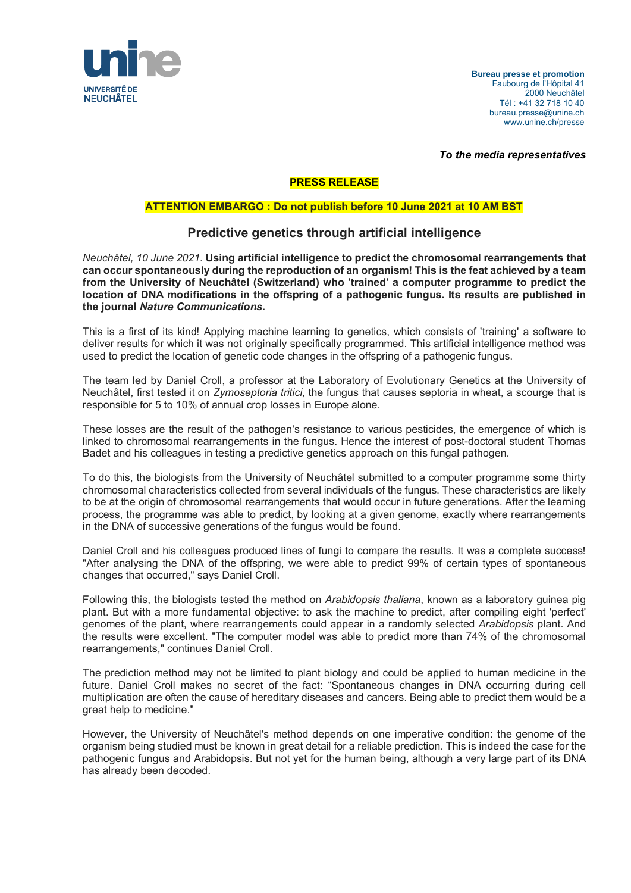

**Bureau presse et promotion** Faubourg de l'Hôpital 41 2000 Neuchâtel Tél : +41 32 718 10 40 bureau.presse@unine.ch www.unine.ch/presse

*To the media representatives*

## **PRESS RELEASE**

## **ATTENTION EMBARGO : Do not publish before 10 June 2021 at 10 AM BST**

## **Predictive genetics through artificial intelligence**

*Neuchâtel, 10 June 2021.* **Using artificial intelligence to predict the chromosomal rearrangements that can occur spontaneously during the reproduction of an organism! This is the feat achieved by a team from the University of Neuchâtel (Switzerland) who 'trained' a computer programme to predict the location of DNA modifications in the offspring of a pathogenic fungus. Its results are published in the journal** *Nature Communications***.**

This is a first of its kind! Applying machine learning to genetics, which consists of 'training' a software to deliver results for which it was not originally specifically programmed. This artificial intelligence method was used to predict the location of genetic code changes in the offspring of a pathogenic fungus.

The team led by Daniel Croll, a professor at the Laboratory of Evolutionary Genetics at the University of Neuchâtel, first tested it on *Zymoseptoria tritici*, the fungus that causes septoria in wheat, a scourge that is responsible for 5 to 10% of annual crop losses in Europe alone.

These losses are the result of the pathogen's resistance to various pesticides, the emergence of which is linked to chromosomal rearrangements in the fungus. Hence the interest of post-doctoral student Thomas Badet and his colleagues in testing a predictive genetics approach on this fungal pathogen.

To do this, the biologists from the University of Neuchâtel submitted to a computer programme some thirty chromosomal characteristics collected from several individuals of the fungus. These characteristics are likely to be at the origin of chromosomal rearrangements that would occur in future generations. After the learning process, the programme was able to predict, by looking at a given genome, exactly where rearrangements in the DNA of successive generations of the fungus would be found.

Daniel Croll and his colleagues produced lines of fungi to compare the results. It was a complete success! "After analysing the DNA of the offspring, we were able to predict 99% of certain types of spontaneous changes that occurred," says Daniel Croll.

Following this, the biologists tested the method on *Arabidopsis thaliana*, known as a laboratory guinea pig plant. But with a more fundamental objective: to ask the machine to predict, after compiling eight 'perfect' genomes of the plant, where rearrangements could appear in a randomly selected *Arabidopsis* plant. And the results were excellent. "The computer model was able to predict more than 74% of the chromosomal rearrangements," continues Daniel Croll.

The prediction method may not be limited to plant biology and could be applied to human medicine in the future. Daniel Croll makes no secret of the fact: "Spontaneous changes in DNA occurring during cell multiplication are often the cause of hereditary diseases and cancers. Being able to predict them would be a great help to medicine."

However, the University of Neuchâtel's method depends on one imperative condition: the genome of the organism being studied must be known in great detail for a reliable prediction. This is indeed the case for the pathogenic fungus and Arabidopsis. But not yet for the human being, although a very large part of its DNA has already been decoded.